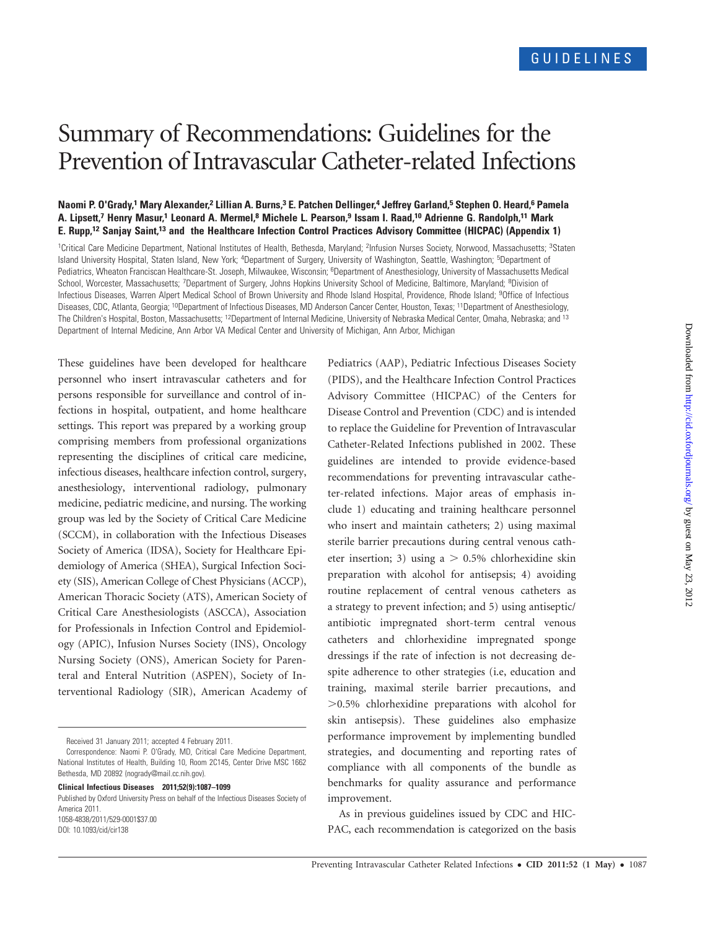# Summary of Recommendations: Guidelines for the Prevention of Intravascular Catheter-related Infections

#### Naomi P. O'Grady,<sup>1</sup> Mary Alexander,<sup>2</sup> Lillian A. Burns,<sup>3</sup> E. Patchen Dellinger,<sup>4</sup> Jeffrey Garland,<sup>5</sup> Stephen O. Heard,<sup>6</sup> Pamela A. Lipsett,<sup>7</sup> Henry Masur,<sup>1</sup> Leonard A. Mermel,<sup>8</sup> Michele L. Pearson,<sup>9</sup> Issam I. Raad,<sup>10</sup> Adrienne G. Randolph,<sup>11</sup> Mark E. Rupp,12 Sanjay Saint,13 and the Healthcare Infection Control Practices Advisory Committee (HICPAC) (Appendix 1)

<sup>1</sup>Critical Care Medicine Department, National Institutes of Health, Bethesda, Maryland; <sup>2</sup>Infusion Nurses Society, Norwood, Massachusetts; <sup>3</sup>Staten Island University Hospital, Staten Island, New York; <sup>4</sup>Department of Surgery, University of Washington, Seattle, Washington; <sup>5</sup>Department of Pediatrics, Wheaton Franciscan Healthcare-St. Joseph, Milwaukee, Wisconsin; <sup>6</sup>Department of Anesthesiology, University of Massachusetts Medical School, Worcester, Massachusetts; <sup>7</sup>Department of Surgery, Johns Hopkins University School of Medicine, Baltimore, Maryland; <sup>8</sup>Division of Infectious Diseases, Warren Alpert Medical School of Brown University and Rhode Island Hospital, Providence, Rhode Island; <sup>9</sup>Office of Infectious Diseases, CDC, Atlanta, Georgia; <sup>10</sup>Department of Infectious Diseases, MD Anderson Cancer Center, Houston, Texas; <sup>11</sup>Department of Anesthesiology, The Children's Hospital, Boston, Massachusetts; <sup>12</sup>Department of Internal Medicine, University of Nebraska Medical Center, Omaha, Nebraska; and <sup>13</sup> Department of Internal Medicine, Ann Arbor VA Medical Center and University of Michigan, Ann Arbor, Michigan

These guidelines have been developed for healthcare personnel who insert intravascular catheters and for persons responsible for surveillance and control of infections in hospital, outpatient, and home healthcare settings. This report was prepared by a working group comprising members from professional organizations representing the disciplines of critical care medicine, infectious diseases, healthcare infection control, surgery, anesthesiology, interventional radiology, pulmonary medicine, pediatric medicine, and nursing. The working group was led by the Society of Critical Care Medicine (SCCM), in collaboration with the Infectious Diseases Society of America (IDSA), Society for Healthcare Epidemiology of America (SHEA), Surgical Infection Society (SIS), American College of Chest Physicians (ACCP), American Thoracic Society (ATS), American Society of Critical Care Anesthesiologists (ASCCA), Association for Professionals in Infection Control and Epidemiology (APIC), Infusion Nurses Society (INS), Oncology Nursing Society (ONS), American Society for Parenteral and Enteral Nutrition (ASPEN), Society of Interventional Radiology (SIR), American Academy of

Clinical Infectious Diseases 2011;52(9):1087–1099

Published by Oxford University Press on behalf of the Infectious Diseases Society of America 2011. 1058-4838/2011/529-0001\$37.00

DOI: 10.1093/cid/cir138

Pediatrics (AAP), Pediatric Infectious Diseases Society (PIDS), and the Healthcare Infection Control Practices Advisory Committee (HICPAC) of the Centers for Disease Control and Prevention (CDC) and is intended to replace the Guideline for Prevention of Intravascular Catheter-Related Infections published in 2002. These guidelines are intended to provide evidence-based recommendations for preventing intravascular catheter-related infections. Major areas of emphasis include 1) educating and training healthcare personnel who insert and maintain catheters; 2) using maximal sterile barrier precautions during central venous catheter insertion; 3) using  $a > 0.5\%$  chlorhexidine skin preparation with alcohol for antisepsis; 4) avoiding routine replacement of central venous catheters as a strategy to prevent infection; and 5) using antiseptic/ antibiotic impregnated short-term central venous catheters and chlorhexidine impregnated sponge dressings if the rate of infection is not decreasing despite adherence to other strategies (i.e, education and training, maximal sterile barrier precautions, and  $>0.5\%$  chlorhexidine preparations with alcohol for skin antisepsis). These guidelines also emphasize performance improvement by implementing bundled strategies, and documenting and reporting rates of compliance with all components of the bundle as benchmarks for quality assurance and performance improvement.

As in previous guidelines issued by CDC and HIC-PAC, each recommendation is categorized on the basis

Received 31 January 2011; accepted 4 February 2011.

Correspondence: Naomi P. O'Grady, MD, Critical Care Medicine Department, National Institutes of Health, Building 10, Room 2C145, Center Drive MSC 1662 Bethesda, MD 20892 (nogrady@mail.cc.nih.gov).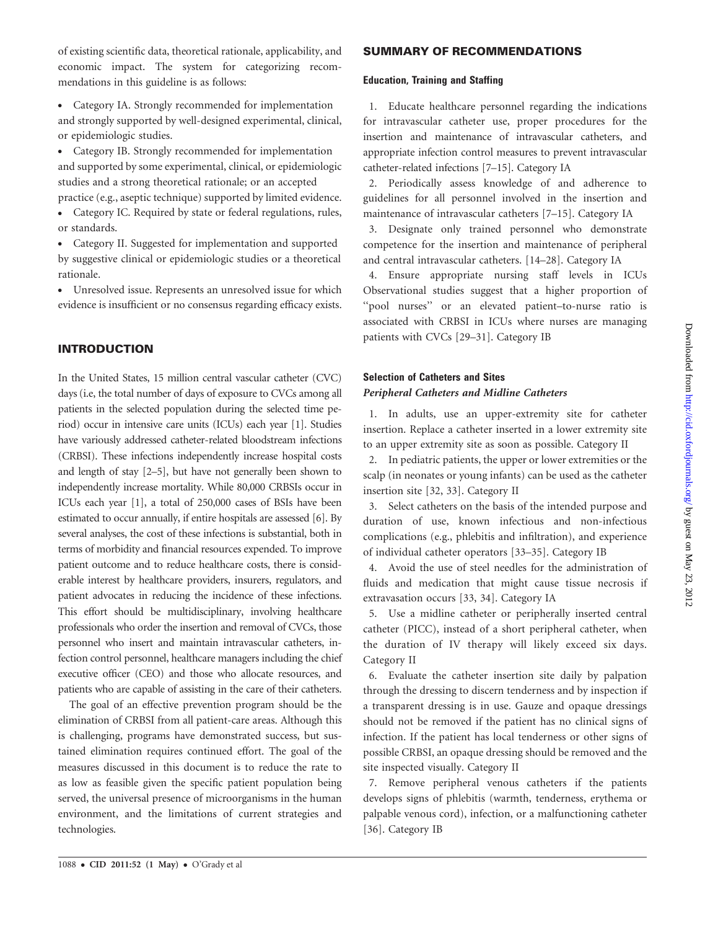of existing scientific data, theoretical rationale, applicability, and economic impact. The system for categorizing recommendations in this guideline is as follows:

• Category IA. Strongly recommended for implementation and strongly supported by well-designed experimental, clinical, or epidemiologic studies.

• Category IB. Strongly recommended for implementation and supported by some experimental, clinical, or epidemiologic studies and a strong theoretical rationale; or an accepted

practice (e.g., aseptic technique) supported by limited evidence. • Category IC. Required by state or federal regulations, rules, or standards.

• Category II. Suggested for implementation and supported by suggestive clinical or epidemiologic studies or a theoretical rationale.

• Unresolved issue. Represents an unresolved issue for which evidence is insufficient or no consensus regarding efficacy exists.

# INTRODUCTION

In the United States, 15 million central vascular catheter (CVC) days (i.e, the total number of days of exposure to CVCs among all patients in the selected population during the selected time period) occur in intensive care units (ICUs) each year [1]. Studies have variously addressed catheter-related bloodstream infections (CRBSI). These infections independently increase hospital costs and length of stay [2–5], but have not generally been shown to independently increase mortality. While 80,000 CRBSIs occur in ICUs each year [1], a total of 250,000 cases of BSIs have been estimated to occur annually, if entire hospitals are assessed [6]. By several analyses, the cost of these infections is substantial, both in terms of morbidity and financial resources expended. To improve patient outcome and to reduce healthcare costs, there is considerable interest by healthcare providers, insurers, regulators, and patient advocates in reducing the incidence of these infections. This effort should be multidisciplinary, involving healthcare professionals who order the insertion and removal of CVCs, those personnel who insert and maintain intravascular catheters, infection control personnel, healthcare managers including the chief executive officer (CEO) and those who allocate resources, and patients who are capable of assisting in the care of their catheters.

The goal of an effective prevention program should be the elimination of CRBSI from all patient-care areas. Although this is challenging, programs have demonstrated success, but sustained elimination requires continued effort. The goal of the measures discussed in this document is to reduce the rate to as low as feasible given the specific patient population being served, the universal presence of microorganisms in the human environment, and the limitations of current strategies and technologies.

# SUMMARY OF RECOMMENDATIONS

#### Education, Training and Staffing

1. Educate healthcare personnel regarding the indications for intravascular catheter use, proper procedures for the insertion and maintenance of intravascular catheters, and appropriate infection control measures to prevent intravascular catheter-related infections [7–15]. Category IA

2. Periodically assess knowledge of and adherence to guidelines for all personnel involved in the insertion and maintenance of intravascular catheters [7–15]. Category IA

3. Designate only trained personnel who demonstrate competence for the insertion and maintenance of peripheral and central intravascular catheters. [14–28]. Category IA

4. Ensure appropriate nursing staff levels in ICUs Observational studies suggest that a higher proportion of ''pool nurses'' or an elevated patient–to-nurse ratio is associated with CRBSI in ICUs where nurses are managing patients with CVCs [29–31]. Category IB

# Selection of Catheters and Sites Peripheral Catheters and Midline Catheters

1. In adults, use an upper-extremity site for catheter insertion. Replace a catheter inserted in a lower extremity site to an upper extremity site as soon as possible. Category II

2. In pediatric patients, the upper or lower extremities or the scalp (in neonates or young infants) can be used as the catheter insertion site [32, 33]. Category II

3. Select catheters on the basis of the intended purpose and duration of use, known infectious and non-infectious complications (e.g., phlebitis and infiltration), and experience of individual catheter operators [33–35]. Category IB

4. Avoid the use of steel needles for the administration of fluids and medication that might cause tissue necrosis if extravasation occurs [33, 34]. Category IA

5. Use a midline catheter or peripherally inserted central catheter (PICC), instead of a short peripheral catheter, when the duration of IV therapy will likely exceed six days. Category II

6. Evaluate the catheter insertion site daily by palpation through the dressing to discern tenderness and by inspection if a transparent dressing is in use. Gauze and opaque dressings should not be removed if the patient has no clinical signs of infection. If the patient has local tenderness or other signs of possible CRBSI, an opaque dressing should be removed and the site inspected visually. Category II

7. Remove peripheral venous catheters if the patients develops signs of phlebitis (warmth, tenderness, erythema or palpable venous cord), infection, or a malfunctioning catheter [36]. Category IB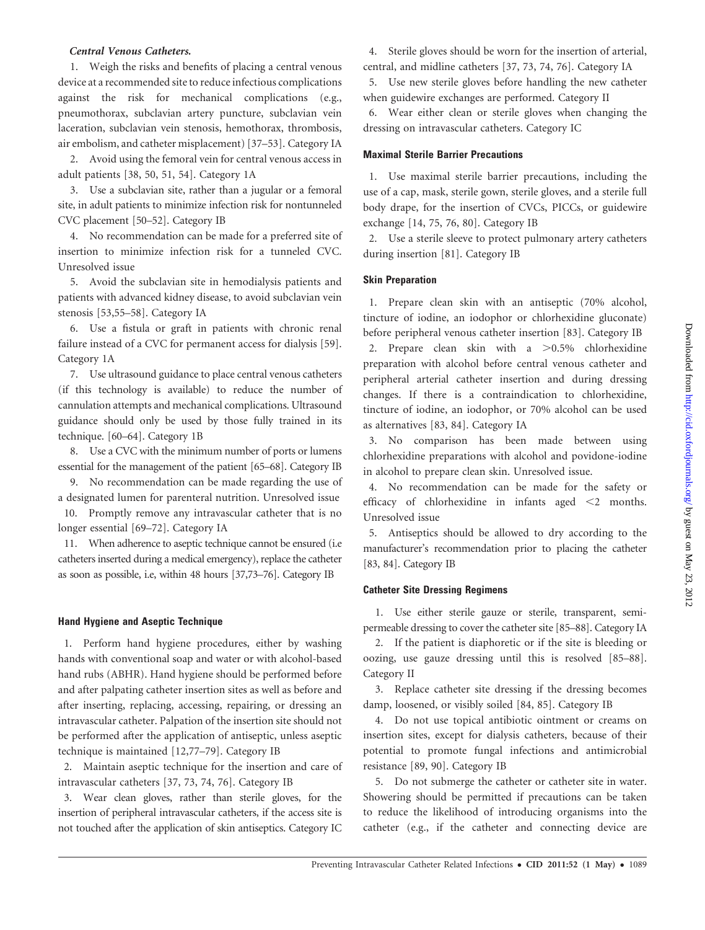# Central Venous Catheters.

1. Weigh the risks and benefits of placing a central venous device at a recommended site to reduce infectious complications against the risk for mechanical complications (e.g., pneumothorax, subclavian artery puncture, subclavian vein laceration, subclavian vein stenosis, hemothorax, thrombosis, air embolism, and catheter misplacement) [37–53]. Category IA

2. Avoid using the femoral vein for central venous access in adult patients [38, 50, 51, 54]. Category 1A

3. Use a subclavian site, rather than a jugular or a femoral site, in adult patients to minimize infection risk for nontunneled CVC placement [50–52]. Category IB

4. No recommendation can be made for a preferred site of insertion to minimize infection risk for a tunneled CVC. Unresolved issue

5. Avoid the subclavian site in hemodialysis patients and patients with advanced kidney disease, to avoid subclavian vein stenosis [53,55–58]. Category IA

6. Use a fistula or graft in patients with chronic renal failure instead of a CVC for permanent access for dialysis [59]. Category 1A

7. Use ultrasound guidance to place central venous catheters (if this technology is available) to reduce the number of cannulation attempts and mechanical complications. Ultrasound guidance should only be used by those fully trained in its technique. [60–64]. Category 1B

8. Use a CVC with the minimum number of ports or lumens essential for the management of the patient [65–68]. Category IB

9. No recommendation can be made regarding the use of a designated lumen for parenteral nutrition. Unresolved issue

10. Promptly remove any intravascular catheter that is no longer essential [69–72]. Category IA

11. When adherence to aseptic technique cannot be ensured (i.e catheters inserted during a medical emergency), replace the catheter as soon as possible, i.e, within 48 hours [37,73–76]. Category IB

#### Hand Hygiene and Aseptic Technique

1. Perform hand hygiene procedures, either by washing hands with conventional soap and water or with alcohol-based hand rubs (ABHR). Hand hygiene should be performed before and after palpating catheter insertion sites as well as before and after inserting, replacing, accessing, repairing, or dressing an intravascular catheter. Palpation of the insertion site should not be performed after the application of antiseptic, unless aseptic technique is maintained [12,77–79]. Category IB

2. Maintain aseptic technique for the insertion and care of intravascular catheters [37, 73, 74, 76]. Category IB

3. Wear clean gloves, rather than sterile gloves, for the insertion of peripheral intravascular catheters, if the access site is not touched after the application of skin antiseptics. Category IC

4. Sterile gloves should be worn for the insertion of arterial, central, and midline catheters [37, 73, 74, 76]. Category IA

5. Use new sterile gloves before handling the new catheter when guidewire exchanges are performed. Category II

6. Wear either clean or sterile gloves when changing the dressing on intravascular catheters. Category IC

#### Maximal Sterile Barrier Precautions

1. Use maximal sterile barrier precautions, including the use of a cap, mask, sterile gown, sterile gloves, and a sterile full body drape, for the insertion of CVCs, PICCs, or guidewire exchange [14, 75, 76, 80]. Category IB

2. Use a sterile sleeve to protect pulmonary artery catheters during insertion [81]. Category IB

#### Skin Preparation

1. Prepare clean skin with an antiseptic (70% alcohol, tincture of iodine, an iodophor or chlorhexidine gluconate) before peripheral venous catheter insertion [83]. Category IB 2. Prepare clean skin with a  $>0.5\%$  chlorhexidine preparation with alcohol before central venous catheter and peripheral arterial catheter insertion and during dressing

changes. If there is a contraindication to chlorhexidine, tincture of iodine, an iodophor, or 70% alcohol can be used as alternatives [83, 84]. Category IA

3. No comparison has been made between using chlorhexidine preparations with alcohol and povidone-iodine in alcohol to prepare clean skin. Unresolved issue.

4. No recommendation can be made for the safety or efficacy of chlorhexidine in infants aged  $\leq$  months. Unresolved issue

5. Antiseptics should be allowed to dry according to the manufacturer's recommendation prior to placing the catheter [83, 84]. Category IB

#### Catheter Site Dressing Regimens

1. Use either sterile gauze or sterile, transparent, semipermeable dressing to cover the catheter site [85–88]. Category IA

2. If the patient is diaphoretic or if the site is bleeding or oozing, use gauze dressing until this is resolved [85–88]. Category II

3. Replace catheter site dressing if the dressing becomes damp, loosened, or visibly soiled [84, 85]. Category IB

4. Do not use topical antibiotic ointment or creams on insertion sites, except for dialysis catheters, because of their potential to promote fungal infections and antimicrobial resistance [89, 90]. Category IB

5. Do not submerge the catheter or catheter site in water. Showering should be permitted if precautions can be taken to reduce the likelihood of introducing organisms into the catheter (e.g., if the catheter and connecting device are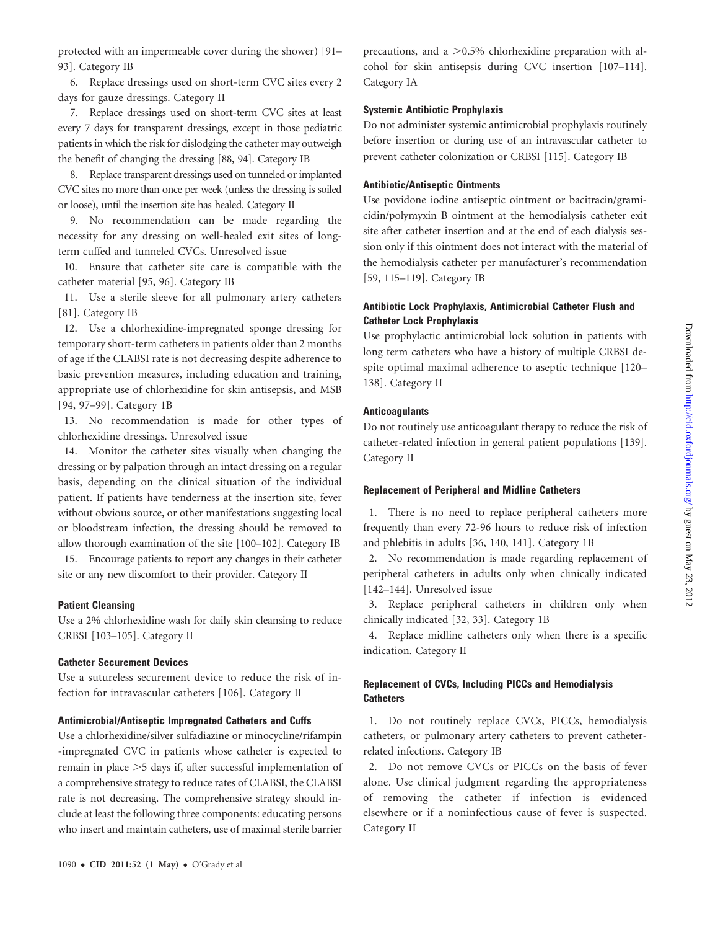protected with an impermeable cover during the shower) [91– 93]. Category IB

6. Replace dressings used on short-term CVC sites every 2 days for gauze dressings. Category II

7. Replace dressings used on short-term CVC sites at least every 7 days for transparent dressings, except in those pediatric patients in which the risk for dislodging the catheter may outweigh the benefit of changing the dressing [88, 94]. Category IB

8. Replace transparent dressings used on tunneled or implanted CVC sites no more than once per week (unless the dressing is soiled or loose), until the insertion site has healed. Category II

9. No recommendation can be made regarding the necessity for any dressing on well-healed exit sites of longterm cuffed and tunneled CVCs. Unresolved issue

10. Ensure that catheter site care is compatible with the catheter material [95, 96]. Category IB

11. Use a sterile sleeve for all pulmonary artery catheters [81]. Category IB

12. Use a chlorhexidine-impregnated sponge dressing for temporary short-term catheters in patients older than 2 months of age if the CLABSI rate is not decreasing despite adherence to basic prevention measures, including education and training, appropriate use of chlorhexidine for skin antisepsis, and MSB [94, 97–99]. Category 1B

13. No recommendation is made for other types of chlorhexidine dressings. Unresolved issue

14. Monitor the catheter sites visually when changing the dressing or by palpation through an intact dressing on a regular basis, depending on the clinical situation of the individual patient. If patients have tenderness at the insertion site, fever without obvious source, or other manifestations suggesting local or bloodstream infection, the dressing should be removed to allow thorough examination of the site [100–102]. Category IB 15. Encourage patients to report any changes in their catheter

site or any new discomfort to their provider. Category II

#### Patient Cleansing

Use a 2% chlorhexidine wash for daily skin cleansing to reduce CRBSI [103–105]. Category II

#### Catheter Securement Devices

Use a sutureless securement device to reduce the risk of infection for intravascular catheters [106]. Category II

#### Antimicrobial/Antiseptic Impregnated Catheters and Cuffs

Use a chlorhexidine/silver sulfadiazine or minocycline/rifampin -impregnated CVC in patients whose catheter is expected to remain in place  $>5$  days if, after successful implementation of a comprehensive strategy to reduce rates of CLABSI, the CLABSI rate is not decreasing. The comprehensive strategy should include at least the following three components: educating persons who insert and maintain catheters, use of maximal sterile barrier

precautions, and a  $>0.5\%$  chlorhexidine preparation with alcohol for skin antisepsis during CVC insertion [107–114]. Category IA

#### Systemic Antibiotic Prophylaxis

Do not administer systemic antimicrobial prophylaxis routinely before insertion or during use of an intravascular catheter to prevent catheter colonization or CRBSI [115]. Category IB

#### Antibiotic/Antiseptic Ointments

Use povidone iodine antiseptic ointment or bacitracin/gramicidin/polymyxin B ointment at the hemodialysis catheter exit site after catheter insertion and at the end of each dialysis session only if this ointment does not interact with the material of the hemodialysis catheter per manufacturer's recommendation [59, 115–119]. Category IB

### Antibiotic Lock Prophylaxis, Antimicrobial Catheter Flush and Catheter Lock Prophylaxis

Use prophylactic antimicrobial lock solution in patients with long term catheters who have a history of multiple CRBSI despite optimal maximal adherence to aseptic technique [120– 138]. Category II

#### Anticoagulants

Do not routinely use anticoagulant therapy to reduce the risk of catheter-related infection in general patient populations [139]. Category II

#### Replacement of Peripheral and Midline Catheters

1. There is no need to replace peripheral catheters more frequently than every 72-96 hours to reduce risk of infection and phlebitis in adults [36, 140, 141]. Category 1B

2. No recommendation is made regarding replacement of peripheral catheters in adults only when clinically indicated [142–144]. Unresolved issue

3. Replace peripheral catheters in children only when clinically indicated [32, 33]. Category 1B

4. Replace midline catheters only when there is a specific indication. Category II

# Replacement of CVCs, Including PICCs and Hemodialysis **Catheters**

1. Do not routinely replace CVCs, PICCs, hemodialysis catheters, or pulmonary artery catheters to prevent catheterrelated infections. Category IB

2. Do not remove CVCs or PICCs on the basis of fever alone. Use clinical judgment regarding the appropriateness of removing the catheter if infection is evidenced elsewhere or if a noninfectious cause of fever is suspected. Category II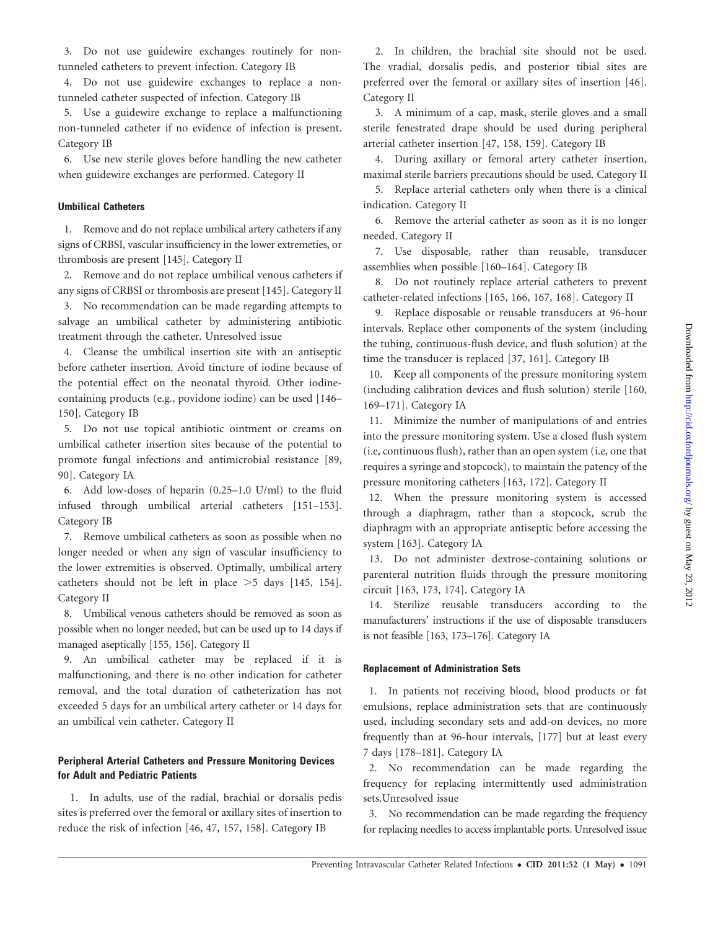3. Do not use guidewire exchanges routinely for nontunneled catheters to prevent infection. Category IB

4. Do not use guidewire exchanges to replace a nontunneled catheter suspected of infection. Category IB

5. Use a guidewire exchange to replace a malfunctioning non-tunneled catheter if no evidence of infection is present. Category IB

6. Use new sterile gloves before handling the new catheter when guidewire exchanges are performed. Category II

#### Umbilical Catheters

1. Remove and do not replace umbilical artery catheters if any signs of CRBSI, vascular insufficiency in the lower extremeties, or thrombosis are present [145]. Category II

2. Remove and do not replace umbilical venous catheters if any signs of CRBSI or thrombosis are present [145]. Category II

3. No recommendation can be made regarding attempts to salvage an umbilical catheter by administering antibiotic treatment through the catheter. Unresolved issue

4. Cleanse the umbilical insertion site with an antiseptic before catheter insertion. Avoid tincture of iodine because of the potential effect on the neonatal thyroid. Other iodinecontaining products (e.g., povidone iodine) can be used [146– 150]. Category IB

5. Do not use topical antibiotic ointment or creams on umbilical catheter insertion sites because of the potential to promote fungal infections and antimicrobial resistance [89, 90]. Category IA

6. Add low-doses of heparin (0.25–1.0 U/ml) to the fluid infused through umbilical arterial catheters [151–153]. Category IB

7. Remove umbilical catheters as soon as possible when no longer needed or when any sign of vascular insufficiency to the lower extremities is observed. Optimally, umbilical artery catheters should not be left in place  $>5$  days [145, 154]. Category II

8. Umbilical venous catheters should be removed as soon as possible when no longer needed, but can be used up to 14 days if managed aseptically [155, 156]. Category II

9. An umbilical catheter may be replaced if it is malfunctioning, and there is no other indication for catheter removal, and the total duration of catheterization has not exceeded 5 days for an umbilical artery catheter or 14 days for an umbilical vein catheter. Category II

# Peripheral Arterial Catheters and Pressure Monitoring Devices for Adult and Pediatric Patients

1. In adults, use of the radial, brachial or dorsalis pedis sites is preferred over the femoral or axillary sites of insertion to reduce the risk of infection [46, 47, 157, 158]. Category IB

2. In children, the brachial site should not be used. The vradial, dorsalis pedis, and posterior tibial sites are preferred over the femoral or axillary sites of insertion [46]. Category II

3. A minimum of a cap, mask, sterile gloves and a small sterile fenestrated drape should be used during peripheral arterial catheter insertion [47, 158, 159]. Category IB

4. During axillary or femoral artery catheter insertion, maximal sterile barriers precautions should be used. Category II

5. Replace arterial catheters only when there is a clinical indication. Category II

6. Remove the arterial catheter as soon as it is no longer needed. Category II

7. Use disposable, rather than reusable, transducer assemblies when possible [160–164]. Category IB

8. Do not routinely replace arterial catheters to prevent catheter-related infections [165, 166, 167, 168]. Category II

9. Replace disposable or reusable transducers at 96-hour intervals. Replace other components of the system (including the tubing, continuous-flush device, and flush solution) at the time the transducer is replaced [37, 161]. Category IB

10. Keep all components of the pressure monitoring system (including calibration devices and flush solution) sterile [160, 169–171]. Category IA

11. Minimize the number of manipulations of and entries into the pressure monitoring system. Use a closed flush system (i.e, continuous flush), rather than an open system (i.e, one that requires a syringe and stopcock), to maintain the patency of the pressure monitoring catheters [163, 172]. Category II

12. When the pressure monitoring system is accessed through a diaphragm, rather than a stopcock, scrub the diaphragm with an appropriate antiseptic before accessing the system [163]. Category IA

13. Do not administer dextrose-containing solutions or parenteral nutrition fluids through the pressure monitoring circuit [163, 173, 174]. Category IA

14. Sterilize reusable transducers according to the manufacturers' instructions if the use of disposable transducers is not feasible [163, 173–176]. Category IA

#### Replacement of Administration Sets

1. In patients not receiving blood, blood products or fat emulsions, replace administration sets that are continuously used, including secondary sets and add-on devices, no more frequently than at 96-hour intervals, [177] but at least every 7 days [178–181]. Category IA

2. No recommendation can be made regarding the frequency for replacing intermittently used administration sets.Unresolved issue

3. No recommendation can be made regarding the frequency for replacing needles to access implantable ports. Unresolved issue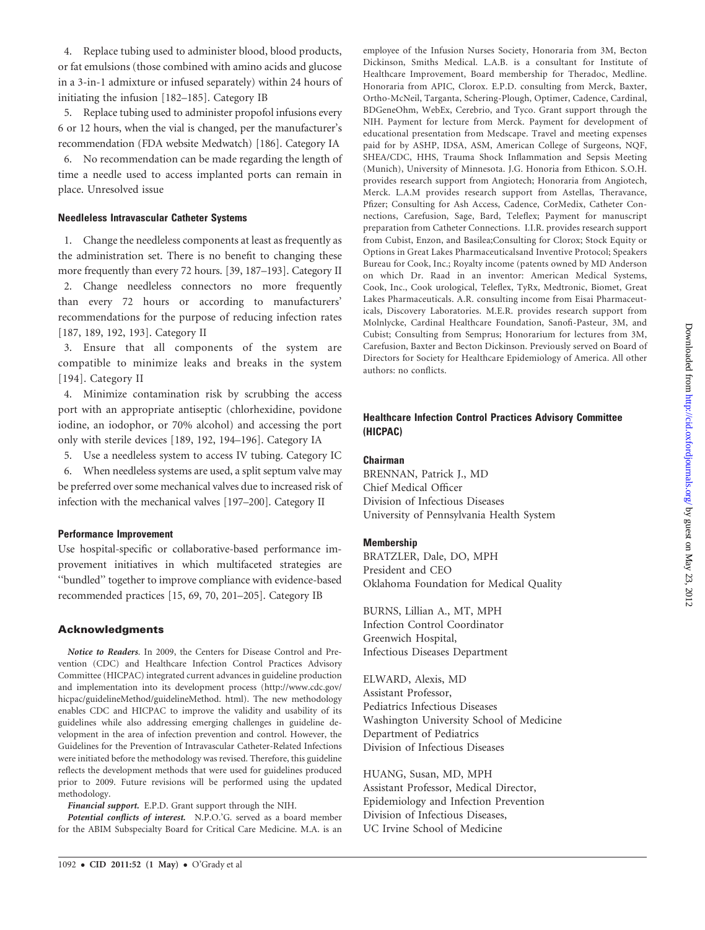4. Replace tubing used to administer blood, blood products, or fat emulsions (those combined with amino acids and glucose in a 3-in-1 admixture or infused separately) within 24 hours of initiating the infusion [182–185]. Category IB

5. Replace tubing used to administer propofol infusions every 6 or 12 hours, when the vial is changed, per the manufacturer's recommendation (FDA website Medwatch) [186]. Category IA

6. No recommendation can be made regarding the length of time a needle used to access implanted ports can remain in place. Unresolved issue

#### Needleless Intravascular Catheter Systems

1. Change the needleless components at least as frequently as the administration set. There is no benefit to changing these more frequently than every 72 hours. [39, 187–193]. Category II 2. Change needleless connectors no more frequently than every 72 hours or according to manufacturers' recommendations for the purpose of reducing infection rates [187, 189, 192, 193]. Category II

3. Ensure that all components of the system are compatible to minimize leaks and breaks in the system [194]. Category II

4. Minimize contamination risk by scrubbing the access port with an appropriate antiseptic (chlorhexidine, povidone iodine, an iodophor, or 70% alcohol) and accessing the port only with sterile devices [189, 192, 194–196]. Category IA

5. Use a needleless system to access IV tubing. Category IC

6. When needleless systems are used, a split septum valve may be preferred over some mechanical valves due to increased risk of infection with the mechanical valves [197–200]. Category II

#### Performance Improvement

Use hospital-specific or collaborative-based performance improvement initiatives in which multifaceted strategies are ''bundled'' together to improve compliance with evidence-based recommended practices [15, 69, 70, 201–205]. Category IB

#### Acknowledgments

Notice to Readers. In 2009, the Centers for Disease Control and Prevention (CDC) and Healthcare Infection Control Practices Advisory Committee (HICPAC) integrated current advances in guideline production and implementation into its development process (http://www.cdc.gov/ hicpac/guidelineMethod/guidelineMethod. html). The new methodology enables CDC and HICPAC to improve the validity and usability of its guidelines while also addressing emerging challenges in guideline development in the area of infection prevention and control. However, the Guidelines for the Prevention of Intravascular Catheter-Related Infections were initiated before the methodology was revised. Therefore, this guideline reflects the development methods that were used for guidelines produced prior to 2009. Future revisions will be performed using the updated methodology.

Financial support. E.P.D. Grant support through the NIH.

Potential conflicts of interest. N.P.O.'G. served as a board member for the ABIM Subspecialty Board for Critical Care Medicine. M.A. is an

employee of the Infusion Nurses Society, Honoraria from 3M, Becton Dickinson, Smiths Medical. L.A.B. is a consultant for Institute of Healthcare Improvement, Board membership for Theradoc, Medline. Honoraria from APIC, Clorox. E.P.D. consulting from Merck, Baxter, Ortho-McNeil, Targanta, Schering-Plough, Optimer, Cadence, Cardinal, BDGeneOhm, WebEx, Cerebrio, and Tyco. Grant support through the NIH. Payment for lecture from Merck. Payment for development of educational presentation from Medscape. Travel and meeting expenses paid for by ASHP, IDSA, ASM, American College of Surgeons, NQF, SHEA/CDC, HHS, Trauma Shock Inflammation and Sepsis Meeting (Munich), University of Minnesota. J.G. Honoria from Ethicon. S.O.H. provides research support from Angiotech; Honoraria from Angiotech, Merck. L.A.M provides research support from Astellas, Theravance, Pfizer; Consulting for Ash Access, Cadence, CorMedix, Catheter Connections, Carefusion, Sage, Bard, Teleflex; Payment for manuscript preparation from Catheter Connections. I.I.R. provides research support from Cubist, Enzon, and Basilea;Consulting for Clorox; Stock Equity or Options in Great Lakes Pharmaceuticalsand Inventive Protocol; Speakers Bureau for Cook, Inc.; Royalty income (patents owned by MD Anderson on which Dr. Raad in an inventor: American Medical Systems, Cook, Inc., Cook urological, Teleflex, TyRx, Medtronic, Biomet, Great Lakes Pharmaceuticals. A.R. consulting income from Eisai Pharmaceuticals, Discovery Laboratories. M.E.R. provides research support from Molnlycke, Cardinal Healthcare Foundation, Sanofi-Pasteur, 3M, and Cubist; Consulting from Semprus; Honorarium for lectures from 3M, Carefusion, Baxter and Becton Dickinson. Previously served on Board of Directors for Society for Healthcare Epidemiology of America. All other authors: no conflicts.

#### Healthcare Infection Control Practices Advisory Committee (HICPAC)

#### Chairman

BRENNAN, Patrick J., MD Chief Medical Officer Division of Infectious Diseases University of Pennsylvania Health System

#### Membership

BRATZLER, Dale, DO, MPH President and CEO Oklahoma Foundation for Medical Quality

BURNS, Lillian A., MT, MPH Infection Control Coordinator Greenwich Hospital, Infectious Diseases Department

ELWARD, Alexis, MD Assistant Professor, Pediatrics Infectious Diseases Washington University School of Medicine Department of Pediatrics Division of Infectious Diseases

HUANG, Susan, MD, MPH Assistant Professor, Medical Director, Epidemiology and Infection Prevention Division of Infectious Diseases, UC Irvine School of Medicine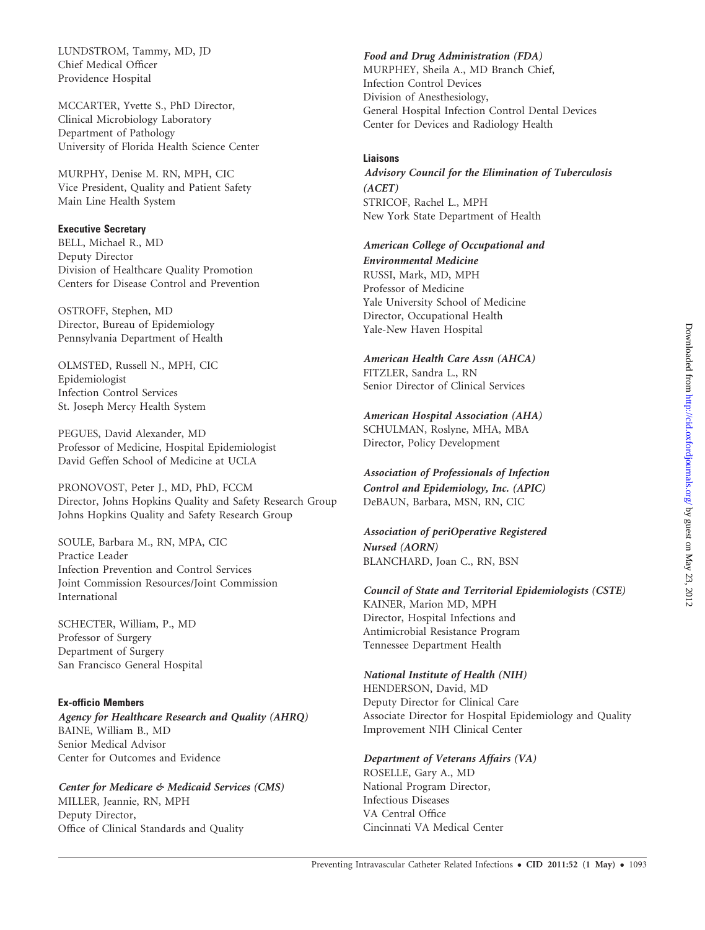LUNDSTROM, Tammy, MD, JD Chief Medical Officer Providence Hospital

MCCARTER, Yvette S., PhD Director, Clinical Microbiology Laboratory Department of Pathology University of Florida Health Science Center

MURPHY, Denise M. RN, MPH, CIC Vice President, Quality and Patient Safety Main Line Health System

#### Executive Secretary

BELL, Michael R., MD Deputy Director Division of Healthcare Quality Promotion Centers for Disease Control and Prevention

OSTROFF, Stephen, MD Director, Bureau of Epidemiology Pennsylvania Department of Health

OLMSTED, Russell N., MPH, CIC Epidemiologist Infection Control Services St. Joseph Mercy Health System

PEGUES, David Alexander, MD Professor of Medicine, Hospital Epidemiologist David Geffen School of Medicine at UCLA

PRONOVOST, Peter J., MD, PhD, FCCM Director, Johns Hopkins Quality and Safety Research Group Johns Hopkins Quality and Safety Research Group

SOULE, Barbara M., RN, MPA, CIC Practice Leader Infection Prevention and Control Services Joint Commission Resources/Joint Commission International

SCHECTER, William, P., MD Professor of Surgery Department of Surgery San Francisco General Hospital

### Ex-officio Members

Agency for Healthcare Research and Quality (AHRQ) BAINE, William B., MD Senior Medical Advisor Center for Outcomes and Evidence

Center for Medicare & Medicaid Services (CMS) MILLER, Jeannie, RN, MPH Deputy Director, Office of Clinical Standards and Quality

Food and Drug Administration (FDA)

MURPHEY, Sheila A., MD Branch Chief, Infection Control Devices Division of Anesthesiology, General Hospital Infection Control Dental Devices Center for Devices and Radiology Health

### Liaisons

Advisory Council for the Elimination of Tuberculosis (ACET) STRICOF, Rachel L., MPH New York State Department of Health

# American College of Occupational and

Environmental Medicine RUSSI, Mark, MD, MPH Professor of Medicine Yale University School of Medicine Director, Occupational Health Yale-New Haven Hospital

# American Health Care Assn (AHCA)

FITZLER, Sandra L., RN Senior Director of Clinical Services

# American Hospital Association (AHA)

SCHULMAN, Roslyne, MHA, MBA Director, Policy Development

Association of Professionals of Infection Control and Epidemiology, Inc. (APIC) DeBAUN, Barbara, MSN, RN, CIC

# Association of periOperative Registered Nursed (AORN)

BLANCHARD, Joan C., RN, BSN

# Council of State and Territorial Epidemiologists (CSTE)

KAINER, Marion MD, MPH Director, Hospital Infections and Antimicrobial Resistance Program Tennessee Department Health

# National Institute of Health (NIH)

HENDERSON, David, MD Deputy Director for Clinical Care Associate Director for Hospital Epidemiology and Quality Improvement NIH Clinical Center

#### Department of Veterans Affairs (VA)

ROSELLE, Gary A., MD National Program Director, Infectious Diseases VA Central Office Cincinnati VA Medical Center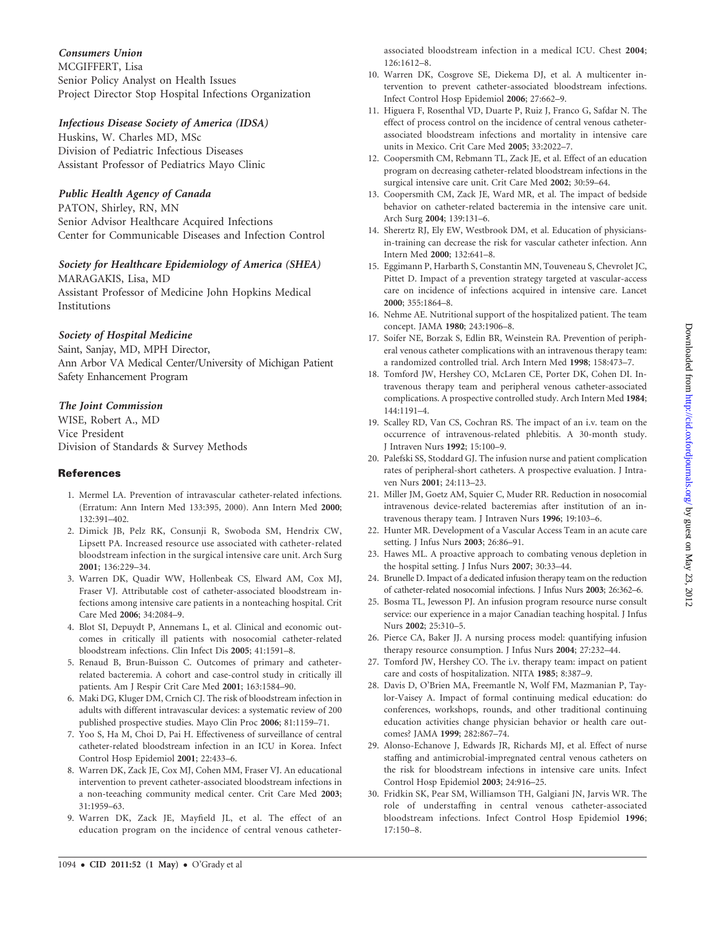Consumers Union

MCGIFFERT, Lisa Senior Policy Analyst on Health Issues Project Director Stop Hospital Infections Organization

# Infectious Disease Society of America (IDSA)

Huskins, W. Charles MD, MSc Division of Pediatric Infectious Diseases Assistant Professor of Pediatrics Mayo Clinic

# Public Health Agency of Canada

PATON, Shirley, RN, MN Senior Advisor Healthcare Acquired Infections Center for Communicable Diseases and Infection Control

# Society for Healthcare Epidemiology of America (SHEA)

MARAGAKIS, Lisa, MD Assistant Professor of Medicine John Hopkins Medical Institutions

# Society of Hospital Medicine

Saint, Sanjay, MD, MPH Director, Ann Arbor VA Medical Center/University of Michigan Patient Safety Enhancement Program

# The Joint Commission

WISE, Robert A., MD Vice President Division of Standards & Survey Methods

# References

- 1. Mermel LA. Prevention of intravascular catheter-related infections. (Erratum: Ann Intern Med 133:395, 2000). Ann Intern Med 2000; 132:391–402.
- 2. Dimick JB, Pelz RK, Consunji R, Swoboda SM, Hendrix CW, Lipsett PA. Increased resource use associated with catheter-related bloodstream infection in the surgical intensive care unit. Arch Surg 2001; 136:229–34.
- 3. Warren DK, Quadir WW, Hollenbeak CS, Elward AM, Cox MJ, Fraser VJ. Attributable cost of catheter-associated bloodstream infections among intensive care patients in a nonteaching hospital. Crit Care Med 2006; 34:2084–9.
- 4. Blot SI, Depuydt P, Annemans L, et al. Clinical and economic outcomes in critically ill patients with nosocomial catheter-related bloodstream infections. Clin Infect Dis 2005; 41:1591–8.
- 5. Renaud B, Brun-Buisson C. Outcomes of primary and catheterrelated bacteremia. A cohort and case-control study in critically ill patients. Am J Respir Crit Care Med 2001; 163:1584–90.
- 6. Maki DG, Kluger DM, Crnich CJ. The risk of bloodstream infection in adults with different intravascular devices: a systematic review of 200 published prospective studies. Mayo Clin Proc 2006; 81:1159–71.
- 7. Yoo S, Ha M, Choi D, Pai H. Effectiveness of surveillance of central catheter-related bloodstream infection in an ICU in Korea. Infect Control Hosp Epidemiol 2001; 22:433–6.
- 8. Warren DK, Zack JE, Cox MJ, Cohen MM, Fraser VJ. An educational intervention to prevent catheter-associated bloodstream infections in a non-teeaching community medical center. Crit Care Med 2003; 31:1959–63.
- 9. Warren DK, Zack JE, Mayfield JL, et al. The effect of an education program on the incidence of central venous catheter-

associated bloodstream infection in a medical ICU. Chest 2004; 126:1612–8.

- 10. Warren DK, Cosgrove SE, Diekema DJ, et al. A multicenter intervention to prevent catheter-associated bloodstream infections. Infect Control Hosp Epidemiol 2006; 27:662–9.
- 11. Higuera F, Rosenthal VD, Duarte P, Ruiz J, Franco G, Safdar N. The effect of process control on the incidence of central venous catheterassociated bloodstream infections and mortality in intensive care units in Mexico. Crit Care Med 2005; 33:2022–7.
- 12. Coopersmith CM, Rebmann TL, Zack JE, et al. Effect of an education program on decreasing catheter-related bloodstream infections in the surgical intensive care unit. Crit Care Med 2002; 30:59–64.
- 13. Coopersmith CM, Zack JE, Ward MR, et al. The impact of bedside behavior on catheter-related bacteremia in the intensive care unit. Arch Surg 2004; 139:131–6.
- 14. Sherertz RJ, Ely EW, Westbrook DM, et al. Education of physiciansin-training can decrease the risk for vascular catheter infection. Ann Intern Med 2000; 132:641–8.
- 15. Eggimann P, Harbarth S, Constantin MN, Touveneau S, Chevrolet JC, Pittet D. Impact of a prevention strategy targeted at vascular-access care on incidence of infections acquired in intensive care. Lancet 2000; 355:1864–8.
- 16. Nehme AE. Nutritional support of the hospitalized patient. The team concept. JAMA 1980; 243:1906–8.
- 17. Soifer NE, Borzak S, Edlin BR, Weinstein RA. Prevention of peripheral venous catheter complications with an intravenous therapy team: a randomized controlled trial. Arch Intern Med 1998; 158:473–7.
- 18. Tomford JW, Hershey CO, McLaren CE, Porter DK, Cohen DI. Intravenous therapy team and peripheral venous catheter-associated complications. A prospective controlled study. Arch Intern Med 1984; 144:1191–4.
- 19. Scalley RD, Van CS, Cochran RS. The impact of an i.v. team on the occurrence of intravenous-related phlebitis. A 30-month study. J Intraven Nurs 1992; 15:100–9.
- 20. Palefski SS, Stoddard GJ. The infusion nurse and patient complication rates of peripheral-short catheters. A prospective evaluation. J Intraven Nurs 2001; 24:113–23.
- 21. Miller JM, Goetz AM, Squier C, Muder RR. Reduction in nosocomial intravenous device-related bacteremias after institution of an intravenous therapy team. J Intraven Nurs 1996; 19:103–6.
- 22. Hunter MR. Development of a Vascular Access Team in an acute care setting. J Infus Nurs 2003; 26:86–91.
- 23. Hawes ML. A proactive approach to combating venous depletion in the hospital setting. J Infus Nurs 2007; 30:33–44.
- 24. Brunelle D. Impact of a dedicated infusion therapy team on the reduction of catheter-related nosocomial infections. J Infus Nurs 2003; 26:362–6.
- 25. Bosma TL, Jewesson PJ. An infusion program resource nurse consult service: our experience in a major Canadian teaching hospital. J Infus Nurs 2002; 25:310–5.
- 26. Pierce CA, Baker JJ. A nursing process model: quantifying infusion therapy resource consumption. J Infus Nurs 2004; 27:232–44.
- 27. Tomford JW, Hershey CO. The i.v. therapy team: impact on patient care and costs of hospitalization. NITA 1985; 8:387–9.
- 28. Davis D, O'Brien MA, Freemantle N, Wolf FM, Mazmanian P, Taylor-Vaisey A. Impact of formal continuing medical education: do conferences, workshops, rounds, and other traditional continuing education activities change physician behavior or health care outcomes? JAMA 1999; 282:867–74.
- 29. Alonso-Echanove J, Edwards JR, Richards MJ, et al. Effect of nurse staffing and antimicrobial-impregnated central venous catheters on the risk for bloodstream infections in intensive care units. Infect Control Hosp Epidemiol 2003; 24:916–25.
- 30. Fridkin SK, Pear SM, Williamson TH, Galgiani JN, Jarvis WR. The role of understaffing in central venous catheter-associated bloodstream infections. Infect Control Hosp Epidemiol 1996; 17:150–8.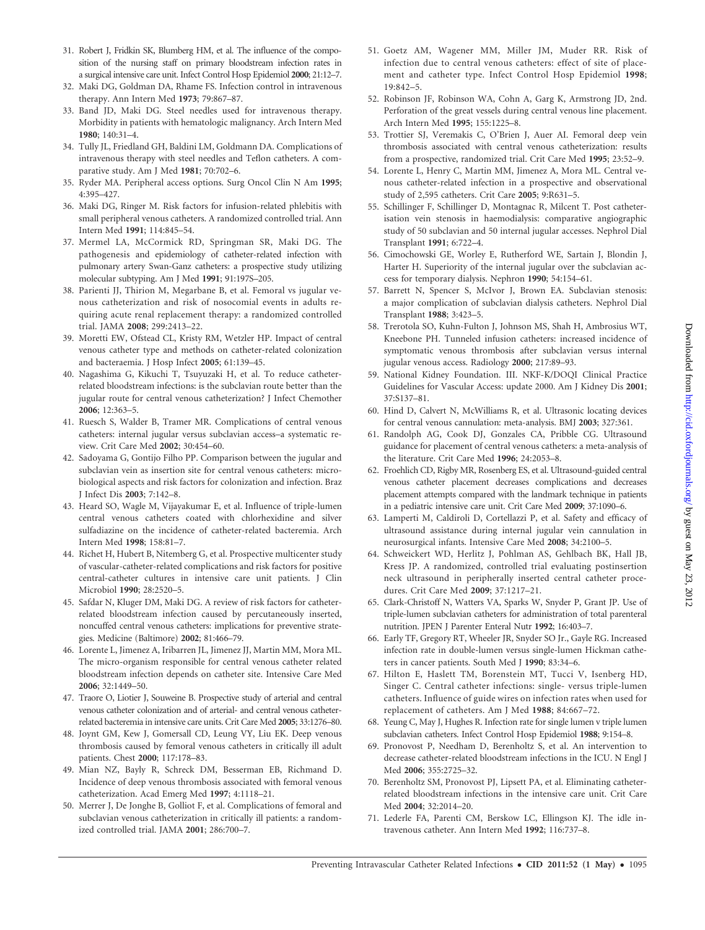- 31. Robert J, Fridkin SK, Blumberg HM, et al. The influence of the composition of the nursing staff on primary bloodstream infection rates in a surgical intensive care unit. Infect Control Hosp Epidemiol 2000; 21:12–7.
- 32. Maki DG, Goldman DA, Rhame FS. Infection control in intravenous therapy. Ann Intern Med 1973; 79:867–87.
- 33. Band JD, Maki DG. Steel needles used for intravenous therapy. Morbidity in patients with hematologic malignancy. Arch Intern Med 1980; 140:31–4.
- 34. Tully JL, Friedland GH, Baldini LM, Goldmann DA. Complications of intravenous therapy with steel needles and Teflon catheters. A comparative study. Am J Med 1981; 70:702–6.
- 35. Ryder MA. Peripheral access options. Surg Oncol Clin N Am 1995; 4:395–427.
- 36. Maki DG, Ringer M. Risk factors for infusion-related phlebitis with small peripheral venous catheters. A randomized controlled trial. Ann Intern Med 1991; 114:845–54.
- 37. Mermel LA, McCormick RD, Springman SR, Maki DG. The pathogenesis and epidemiology of catheter-related infection with pulmonary artery Swan-Ganz catheters: a prospective study utilizing molecular subtyping. Am J Med 1991; 91:197S–205.
- 38. Parienti JJ, Thirion M, Megarbane B, et al. Femoral vs jugular venous catheterization and risk of nosocomial events in adults requiring acute renal replacement therapy: a randomized controlled trial. JAMA 2008; 299:2413–22.
- 39. Moretti EW, Ofstead CL, Kristy RM, Wetzler HP. Impact of central venous catheter type and methods on catheter-related colonization and bacteraemia. J Hosp Infect 2005; 61:139–45.
- 40. Nagashima G, Kikuchi T, Tsuyuzaki H, et al. To reduce catheterrelated bloodstream infections: is the subclavian route better than the jugular route for central venous catheterization? J Infect Chemother 2006; 12:363–5.
- 41. Ruesch S, Walder B, Tramer MR. Complications of central venous catheters: internal jugular versus subclavian access–a systematic review. Crit Care Med 2002; 30:454–60.
- 42. Sadoyama G, Gontijo Filho PP. Comparison between the jugular and subclavian vein as insertion site for central venous catheters: microbiological aspects and risk factors for colonization and infection. Braz J Infect Dis 2003; 7:142–8.
- 43. Heard SO, Wagle M, Vijayakumar E, et al. Influence of triple-lumen central venous catheters coated with chlorhexidine and silver sulfadiazine on the incidence of catheter-related bacteremia. Arch Intern Med 1998; 158:81–7.
- 44. Richet H, Hubert B, Nitemberg G, et al. Prospective multicenter study of vascular-catheter-related complications and risk factors for positive central-catheter cultures in intensive care unit patients. J Clin Microbiol 1990; 28:2520–5.
- 45. Safdar N, Kluger DM, Maki DG. A review of risk factors for catheterrelated bloodstream infection caused by percutaneously inserted, noncuffed central venous catheters: implications for preventive strategies. Medicine (Baltimore) 2002; 81:466–79.
- 46. Lorente L, Jimenez A, Iribarren JL, Jimenez JJ, Martin MM, Mora ML. The micro-organism responsible for central venous catheter related bloodstream infection depends on catheter site. Intensive Care Med 2006; 32:1449–50.
- 47. Traore O, Liotier J, Souweine B. Prospective study of arterial and central venous catheter colonization and of arterial- and central venous catheterrelated bacteremia in intensive care units. Crit Care Med 2005; 33:1276–80.
- 48. Joynt GM, Kew J, Gomersall CD, Leung VY, Liu EK. Deep venous thrombosis caused by femoral venous catheters in critically ill adult patients. Chest 2000; 117:178–83.
- 49. Mian NZ, Bayly R, Schreck DM, Besserman EB, Richmand D. Incidence of deep venous thrombosis associated with femoral venous catheterization. Acad Emerg Med 1997; 4:1118–21.
- 50. Merrer J, De Jonghe B, Golliot F, et al. Complications of femoral and subclavian venous catheterization in critically ill patients: a randomized controlled trial. JAMA 2001; 286:700–7.
- 51. Goetz AM, Wagener MM, Miller JM, Muder RR. Risk of infection due to central venous catheters: effect of site of placement and catheter type. Infect Control Hosp Epidemiol 1998; 19:842–5.
- 52. Robinson JF, Robinson WA, Cohn A, Garg K, Armstrong JD, 2nd. Perforation of the great vessels during central venous line placement. Arch Intern Med 1995; 155:1225–8.
- 53. Trottier SJ, Veremakis C, O'Brien J, Auer AI. Femoral deep vein thrombosis associated with central venous catheterization: results from a prospective, randomized trial. Crit Care Med 1995; 23:52–9.
- 54. Lorente L, Henry C, Martin MM, Jimenez A, Mora ML. Central venous catheter-related infection in a prospective and observational study of 2,595 catheters. Crit Care 2005; 9:R631–5.
- 55. Schillinger F, Schillinger D, Montagnac R, Milcent T. Post catheterisation vein stenosis in haemodialysis: comparative angiographic study of 50 subclavian and 50 internal jugular accesses. Nephrol Dial Transplant 1991; 6:722–4.
- 56. Cimochowski GE, Worley E, Rutherford WE, Sartain J, Blondin J, Harter H. Superiority of the internal jugular over the subclavian access for temporary dialysis. Nephron 1990; 54:154–61.
- 57. Barrett N, Spencer S, McIvor J, Brown EA. Subclavian stenosis: a major complication of subclavian dialysis catheters. Nephrol Dial Transplant 1988; 3:423–5.
- 58. Trerotola SO, Kuhn-Fulton J, Johnson MS, Shah H, Ambrosius WT, Kneebone PH. Tunneled infusion catheters: increased incidence of symptomatic venous thrombosis after subclavian versus internal jugular venous access. Radiology 2000; 217:89–93.
- 59. National Kidney Foundation. III. NKF-K/DOQI Clinical Practice Guidelines for Vascular Access: update 2000. Am J Kidney Dis 2001; 37:S137–81.
- 60. Hind D, Calvert N, McWilliams R, et al. Ultrasonic locating devices for central venous cannulation: meta-analysis. BMJ 2003; 327:361.
- 61. Randolph AG, Cook DJ, Gonzales CA, Pribble CG. Ultrasound guidance for placement of central venous catheters: a meta-analysis of the literature. Crit Care Med 1996; 24:2053–8.
- 62. Froehlich CD, Rigby MR, Rosenberg ES, et al. Ultrasound-guided central venous catheter placement decreases complications and decreases placement attempts compared with the landmark technique in patients in a pediatric intensive care unit. Crit Care Med 2009; 37:1090–6.
- 63. Lamperti M, Caldiroli D, Cortellazzi P, et al. Safety and efficacy of ultrasound assistance during internal jugular vein cannulation in neurosurgical infants. Intensive Care Med 2008; 34:2100–5.
- 64. Schweickert WD, Herlitz J, Pohlman AS, Gehlbach BK, Hall JB, Kress JP. A randomized, controlled trial evaluating postinsertion neck ultrasound in peripherally inserted central catheter procedures. Crit Care Med 2009; 37:1217–21.
- 65. Clark-Christoff N, Watters VA, Sparks W, Snyder P, Grant JP. Use of triple-lumen subclavian catheters for administration of total parenteral nutrition. JPEN J Parenter Enteral Nutr 1992; 16:403–7.
- 66. Early TF, Gregory RT, Wheeler JR, Snyder SO Jr., Gayle RG. Increased infection rate in double-lumen versus single-lumen Hickman catheters in cancer patients. South Med J 1990; 83:34–6.
- 67. Hilton E, Haslett TM, Borenstein MT, Tucci V, Isenberg HD, Singer C. Central catheter infections: single- versus triple-lumen catheters. Influence of guide wires on infection rates when used for replacement of catheters. Am J Med 1988; 84:667–72.
- 68. Yeung C, May J, Hughes R. Infection rate for single lumen v triple lumen subclavian catheters. Infect Control Hosp Epidemiol 1988; 9:154–8.
- 69. Pronovost P, Needham D, Berenholtz S, et al. An intervention to decrease catheter-related bloodstream infections in the ICU. N Engl J Med 2006; 355:2725–32.
- 70. Berenholtz SM, Pronovost PJ, Lipsett PA, et al. Eliminating catheterrelated bloodstream infections in the intensive care unit. Crit Care Med 2004; 32:2014–20.
- 71. Lederle FA, Parenti CM, Berskow LC, Ellingson KJ. The idle intravenous catheter. Ann Intern Med 1992; 116:737–8.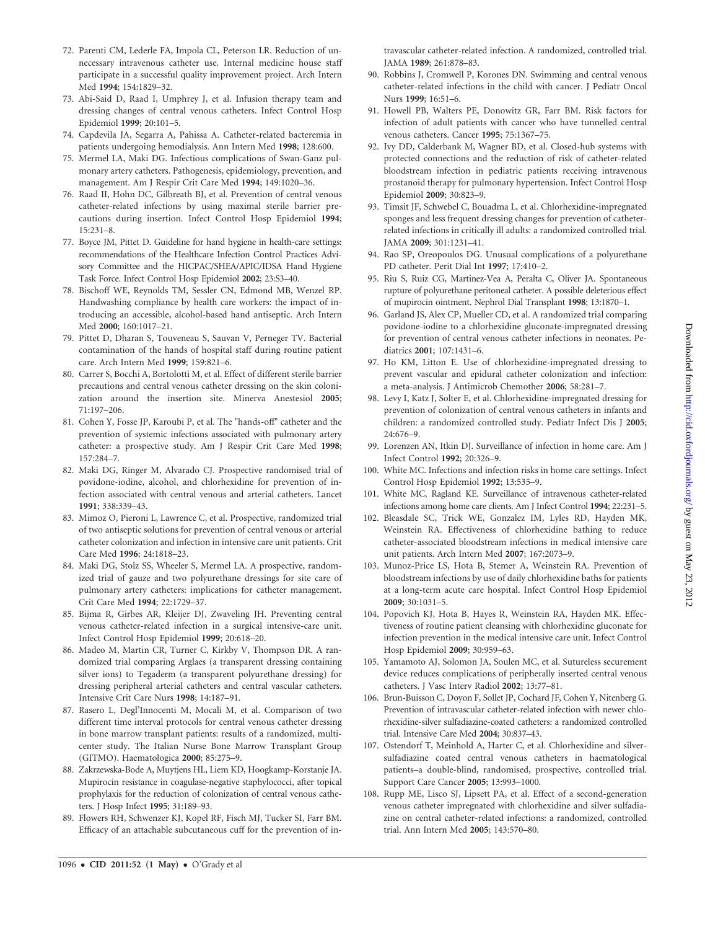- 72. Parenti CM, Lederle FA, Impola CL, Peterson LR. Reduction of unnecessary intravenous catheter use. Internal medicine house staff participate in a successful quality improvement project. Arch Intern Med 1994; 154:1829–32.
- 73. Abi-Said D, Raad I, Umphrey J, et al. Infusion therapy team and dressing changes of central venous catheters. Infect Control Hosp Epidemiol 1999; 20:101–5.
- 74. Capdevila JA, Segarra A, Pahissa A. Catheter-related bacteremia in patients undergoing hemodialysis. Ann Intern Med 1998; 128:600.
- 75. Mermel LA, Maki DG. Infectious complications of Swan-Ganz pulmonary artery catheters. Pathogenesis, epidemiology, prevention, and management. Am J Respir Crit Care Med 1994; 149:1020–36.
- 76. Raad II, Hohn DC, Gilbreath BJ, et al. Prevention of central venous catheter-related infections by using maximal sterile barrier precautions during insertion. Infect Control Hosp Epidemiol 1994; 15:231–8.
- 77. Boyce JM, Pittet D. Guideline for hand hygiene in health-care settings: recommendations of the Healthcare Infection Control Practices Advisory Committee and the HICPAC/SHEA/APIC/IDSA Hand Hygiene Task Force. Infect Control Hosp Epidemiol 2002; 23:S3–40.
- 78. Bischoff WE, Reynolds TM, Sessler CN, Edmond MB, Wenzel RP. Handwashing compliance by health care workers: the impact of introducing an accessible, alcohol-based hand antiseptic. Arch Intern Med 2000; 160:1017–21.
- 79. Pittet D, Dharan S, Touveneau S, Sauvan V, Perneger TV. Bacterial contamination of the hands of hospital staff during routine patient care. Arch Intern Med 1999; 159:821–6.
- 80. Carrer S, Bocchi A, Bortolotti M, et al. Effect of different sterile barrier precautions and central venous catheter dressing on the skin colonization around the insertion site. Minerva Anestesiol 2005; 71:197–206.
- 81. Cohen Y, Fosse JP, Karoubi P, et al. The "hands-off" catheter and the prevention of systemic infections associated with pulmonary artery catheter: a prospective study. Am J Respir Crit Care Med 1998; 157:284–7.
- 82. Maki DG, Ringer M, Alvarado CJ. Prospective randomised trial of povidone-iodine, alcohol, and chlorhexidine for prevention of infection associated with central venous and arterial catheters. Lancet 1991; 338:339–43.
- 83. Mimoz O, Pieroni L, Lawrence C, et al. Prospective, randomized trial of two antiseptic solutions for prevention of central venous or arterial catheter colonization and infection in intensive care unit patients. Crit Care Med 1996; 24:1818–23.
- 84. Maki DG, Stolz SS, Wheeler S, Mermel LA. A prospective, randomized trial of gauze and two polyurethane dressings for site care of pulmonary artery catheters: implications for catheter management. Crit Care Med 1994; 22:1729–37.
- 85. Bijma R, Girbes AR, Kleijer DJ, Zwaveling JH. Preventing central venous catheter-related infection in a surgical intensive-care unit. Infect Control Hosp Epidemiol 1999; 20:618–20.
- 86. Madeo M, Martin CR, Turner C, Kirkby V, Thompson DR. A randomized trial comparing Arglaes (a transparent dressing containing silver ions) to Tegaderm (a transparent polyurethane dressing) for dressing peripheral arterial catheters and central vascular catheters. Intensive Crit Care Nurs 1998; 14:187–91.
- 87. Rasero L, Degl'Innocenti M, Mocali M, et al. Comparison of two different time interval protocols for central venous catheter dressing in bone marrow transplant patients: results of a randomized, multicenter study. The Italian Nurse Bone Marrow Transplant Group (GITMO). Haematologica 2000; 85:275–9.
- 88. Zakrzewska-Bode A, Muytjens HL, Liem KD, Hoogkamp-Korstanje JA. Mupirocin resistance in coagulase-negative staphylococci, after topical prophylaxis for the reduction of colonization of central venous catheters. J Hosp Infect 1995; 31:189–93.
- 89. Flowers RH, Schwenzer KJ, Kopel RF, Fisch MJ, Tucker SI, Farr BM. Efficacy of an attachable subcutaneous cuff for the prevention of in-

travascular catheter-related infection. A randomized, controlled trial. JAMA 1989; 261:878–83.

- 90. Robbins J, Cromwell P, Korones DN. Swimming and central venous catheter-related infections in the child with cancer. J Pediatr Oncol Nurs 1999; 16:51–6.
- 91. Howell PB, Walters PE, Donowitz GR, Farr BM. Risk factors for infection of adult patients with cancer who have tunnelled central venous catheters. Cancer 1995; 75:1367–75.
- 92. Ivy DD, Calderbank M, Wagner BD, et al. Closed-hub systems with protected connections and the reduction of risk of catheter-related bloodstream infection in pediatric patients receiving intravenous prostanoid therapy for pulmonary hypertension. Infect Control Hosp Epidemiol 2009; 30:823–9.
- 93. Timsit JF, Schwebel C, Bouadma L, et al. Chlorhexidine-impregnated sponges and less frequent dressing changes for prevention of catheterrelated infections in critically ill adults: a randomized controlled trial. JAMA 2009; 301:1231–41.
- 94. Rao SP, Oreopoulos DG. Unusual complications of a polyurethane PD catheter. Perit Dial Int 1997; 17:410–2.
- 95. Riu S, Ruiz CG, Martinez-Vea A, Peralta C, Oliver JA. Spontaneous rupture of polyurethane peritoneal catheter. A possible deleterious effect of mupirocin ointment. Nephrol Dial Transplant 1998; 13:1870–1.
- 96. Garland JS, Alex CP, Mueller CD, et al. A randomized trial comparing povidone-iodine to a chlorhexidine gluconate-impregnated dressing for prevention of central venous catheter infections in neonates. Pediatrics 2001; 107:1431–6.
- 97. Ho KM, Litton E. Use of chlorhexidine-impregnated dressing to prevent vascular and epidural catheter colonization and infection: a meta-analysis. J Antimicrob Chemother 2006; 58:281–7.
- 98. Levy I, Katz J, Solter E, et al. Chlorhexidine-impregnated dressing for prevention of colonization of central venous catheters in infants and children: a randomized controlled study. Pediatr Infect Dis J 2005; 24:676–9.
- 99. Lorenzen AN, Itkin DJ. Surveillance of infection in home care. Am J Infect Control 1992; 20:326–9.
- 100. White MC. Infections and infection risks in home care settings. Infect Control Hosp Epidemiol 1992; 13:535–9.
- 101. White MC, Ragland KE. Surveillance of intravenous catheter-related infections among home care clients. Am J Infect Control 1994; 22:231–5.
- 102. Bleasdale SC, Trick WE, Gonzalez IM, Lyles RD, Hayden MK, Weinstein RA. Effectiveness of chlorhexidine bathing to reduce catheter-associated bloodstream infections in medical intensive care unit patients. Arch Intern Med 2007; 167:2073–9.
- 103. Munoz-Price LS, Hota B, Stemer A, Weinstein RA. Prevention of bloodstream infections by use of daily chlorhexidine baths for patients at a long-term acute care hospital. Infect Control Hosp Epidemiol 2009; 30:1031–5.
- 104. Popovich KJ, Hota B, Hayes R, Weinstein RA, Hayden MK. Effectiveness of routine patient cleansing with chlorhexidine gluconate for infection prevention in the medical intensive care unit. Infect Control Hosp Epidemiol 2009; 30:959–63.
- 105. Yamamoto AJ, Solomon JA, Soulen MC, et al. Sutureless securement device reduces complications of peripherally inserted central venous catheters. J Vasc Interv Radiol 2002; 13:77–81.
- 106. Brun-Buisson C, Doyon F, Sollet JP, Cochard JF, Cohen Y, Nitenberg G. Prevention of intravascular catheter-related infection with newer chlorhexidine-silver sulfadiazine-coated catheters: a randomized controlled trial. Intensive Care Med 2004; 30:837–43.
- 107. Ostendorf T, Meinhold A, Harter C, et al. Chlorhexidine and silversulfadiazine coated central venous catheters in haematological patients–a double-blind, randomised, prospective, controlled trial. Support Care Cancer 2005; 13:993–1000.
- 108. Rupp ME, Lisco SJ, Lipsett PA, et al. Effect of a second-generation venous catheter impregnated with chlorhexidine and silver sulfadiazine on central catheter-related infections: a randomized, controlled trial. Ann Intern Med 2005; 143:570–80.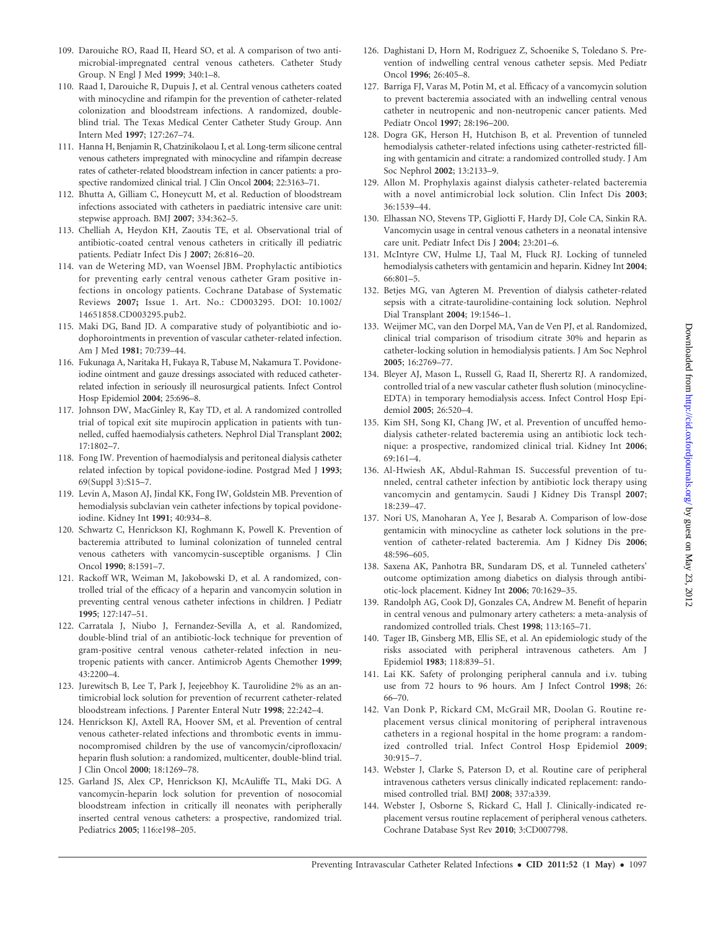- 109. Darouiche RO, Raad II, Heard SO, et al. A comparison of two antimicrobial-impregnated central venous catheters. Catheter Study Group. N Engl J Med 1999; 340:1–8.
- 110. Raad I, Darouiche R, Dupuis J, et al. Central venous catheters coated with minocycline and rifampin for the prevention of catheter-related colonization and bloodstream infections. A randomized, doubleblind trial. The Texas Medical Center Catheter Study Group. Ann Intern Med 1997; 127:267–74.
- 111. Hanna H, Benjamin R, Chatzinikolaou I, et al. Long-term silicone central venous catheters impregnated with minocycline and rifampin decrease rates of catheter-related bloodstream infection in cancer patients: a prospective randomized clinical trial. J Clin Oncol 2004; 22:3163–71.
- 112. Bhutta A, Gilliam C, Honeycutt M, et al. Reduction of bloodstream infections associated with catheters in paediatric intensive care unit: stepwise approach. BMJ 2007; 334:362–5.
- 113. Chelliah A, Heydon KH, Zaoutis TE, et al. Observational trial of antibiotic-coated central venous catheters in critically ill pediatric patients. Pediatr Infect Dis J 2007; 26:816–20.
- 114. van de Wetering MD, van Woensel JBM. Prophylactic antibiotics for preventing early central venous catheter Gram positive infections in oncology patients. Cochrane Database of Systematic Reviews 2007; Issue 1. Art. No.: CD003295. DOI: 10.1002/ 14651858.CD003295.pub2.
- 115. Maki DG, Band JD. A comparative study of polyantibiotic and iodophorointments in prevention of vascular catheter-related infection. Am J Med 1981; 70:739–44.
- 116. Fukunaga A, Naritaka H, Fukaya R, Tabuse M, Nakamura T. Povidoneiodine ointment and gauze dressings associated with reduced catheterrelated infection in seriously ill neurosurgical patients. Infect Control Hosp Epidemiol 2004; 25:696–8.
- 117. Johnson DW, MacGinley R, Kay TD, et al. A randomized controlled trial of topical exit site mupirocin application in patients with tunnelled, cuffed haemodialysis catheters. Nephrol Dial Transplant 2002; 17:1802–7.
- 118. Fong IW. Prevention of haemodialysis and peritoneal dialysis catheter related infection by topical povidone-iodine. Postgrad Med J 1993; 69(Suppl 3):S15–7.
- 119. Levin A, Mason AJ, Jindal KK, Fong IW, Goldstein MB. Prevention of hemodialysis subclavian vein catheter infections by topical povidoneiodine. Kidney Int 1991; 40:934–8.
- 120. Schwartz C, Henrickson KJ, Roghmann K, Powell K. Prevention of bacteremia attributed to luminal colonization of tunneled central venous catheters with vancomycin-susceptible organisms. J Clin Oncol 1990; 8:1591–7.
- 121. Rackoff WR, Weiman M, Jakobowski D, et al. A randomized, controlled trial of the efficacy of a heparin and vancomycin solution in preventing central venous catheter infections in children. J Pediatr 1995; 127:147–51.
- 122. Carratala J, Niubo J, Fernandez-Sevilla A, et al. Randomized, double-blind trial of an antibiotic-lock technique for prevention of gram-positive central venous catheter-related infection in neutropenic patients with cancer. Antimicrob Agents Chemother 1999; 43:2200–4.
- 123. Jurewitsch B, Lee T, Park J, Jeejeebhoy K. Taurolidine 2% as an antimicrobial lock solution for prevention of recurrent catheter-related bloodstream infections. J Parenter Enteral Nutr 1998; 22:242–4.
- 124. Henrickson KJ, Axtell RA, Hoover SM, et al. Prevention of central venous catheter-related infections and thrombotic events in immunocompromised children by the use of vancomycin/ciprofloxacin/ heparin flush solution: a randomized, multicenter, double-blind trial. J Clin Oncol 2000; 18:1269–78.
- 125. Garland JS, Alex CP, Henrickson KJ, McAuliffe TL, Maki DG. A vancomycin-heparin lock solution for prevention of nosocomial bloodstream infection in critically ill neonates with peripherally inserted central venous catheters: a prospective, randomized trial. Pediatrics 2005; 116:e198–205.
- 126. Daghistani D, Horn M, Rodriguez Z, Schoenike S, Toledano S. Prevention of indwelling central venous catheter sepsis. Med Pediatr Oncol 1996; 26:405–8.
- 127. Barriga FJ, Varas M, Potin M, et al. Efficacy of a vancomycin solution to prevent bacteremia associated with an indwelling central venous catheter in neutropenic and non-neutropenic cancer patients. Med Pediatr Oncol 1997; 28:196–200.
- 128. Dogra GK, Herson H, Hutchison B, et al. Prevention of tunneled hemodialysis catheter-related infections using catheter-restricted filling with gentamicin and citrate: a randomized controlled study. J Am Soc Nephrol 2002; 13:2133–9.
- 129. Allon M. Prophylaxis against dialysis catheter-related bacteremia with a novel antimicrobial lock solution. Clin Infect Dis 2003; 36:1539–44.
- 130. Elhassan NO, Stevens TP, Gigliotti F, Hardy DJ, Cole CA, Sinkin RA. Vancomycin usage in central venous catheters in a neonatal intensive care unit. Pediatr Infect Dis J 2004; 23:201–6.
- 131. McIntyre CW, Hulme LJ, Taal M, Fluck RJ. Locking of tunneled hemodialysis catheters with gentamicin and heparin. Kidney Int 2004; 66:801–5.
- 132. Betjes MG, van Agteren M. Prevention of dialysis catheter-related sepsis with a citrate-taurolidine-containing lock solution. Nephrol Dial Transplant 2004; 19:1546–1.
- 133. Weijmer MC, van den Dorpel MA, Van de Ven PJ, et al. Randomized, clinical trial comparison of trisodium citrate 30% and heparin as catheter-locking solution in hemodialysis patients. J Am Soc Nephrol 2005; 16:2769–77.
- 134. Bleyer AJ, Mason L, Russell G, Raad II, Sherertz RJ. A randomized, controlled trial of a new vascular catheter flush solution (minocycline-EDTA) in temporary hemodialysis access. Infect Control Hosp Epidemiol 2005; 26:520–4.
- 135. Kim SH, Song KI, Chang JW, et al. Prevention of uncuffed hemodialysis catheter-related bacteremia using an antibiotic lock technique: a prospective, randomized clinical trial. Kidney Int 2006; 69:161–4.
- 136. Al-Hwiesh AK, Abdul-Rahman IS. Successful prevention of tunneled, central catheter infection by antibiotic lock therapy using vancomycin and gentamycin. Saudi J Kidney Dis Transpl 2007; 18:239–47.
- 137. Nori US, Manoharan A, Yee J, Besarab A. Comparison of low-dose gentamicin with minocycline as catheter lock solutions in the prevention of catheter-related bacteremia. Am J Kidney Dis 2006; 48:596–605.
- 138. Saxena AK, Panhotra BR, Sundaram DS, et al. Tunneled catheters' outcome optimization among diabetics on dialysis through antibiotic-lock placement. Kidney Int 2006; 70:1629–35.
- 139. Randolph AG, Cook DJ, Gonzales CA, Andrew M. Benefit of heparin in central venous and pulmonary artery catheters: a meta-analysis of randomized controlled trials. Chest 1998; 113:165–71.
- 140. Tager IB, Ginsberg MB, Ellis SE, et al. An epidemiologic study of the risks associated with peripheral intravenous catheters. Am J Epidemiol 1983; 118:839–51.
- 141. Lai KK. Safety of prolonging peripheral cannula and i.v. tubing use from 72 hours to 96 hours. Am J Infect Control 1998; 26: 66–70.
- 142. Van Donk P, Rickard CM, McGrail MR, Doolan G. Routine replacement versus clinical monitoring of peripheral intravenous catheters in a regional hospital in the home program: a randomized controlled trial. Infect Control Hosp Epidemiol 2009; 30:915–7.
- 143. Webster J, Clarke S, Paterson D, et al. Routine care of peripheral intravenous catheters versus clinically indicated replacement: randomised controlled trial. BMJ 2008; 337:a339.
- 144. Webster J, Osborne S, Rickard C, Hall J. Clinically-indicated replacement versus routine replacement of peripheral venous catheters. Cochrane Database Syst Rev 2010; 3:CD007798.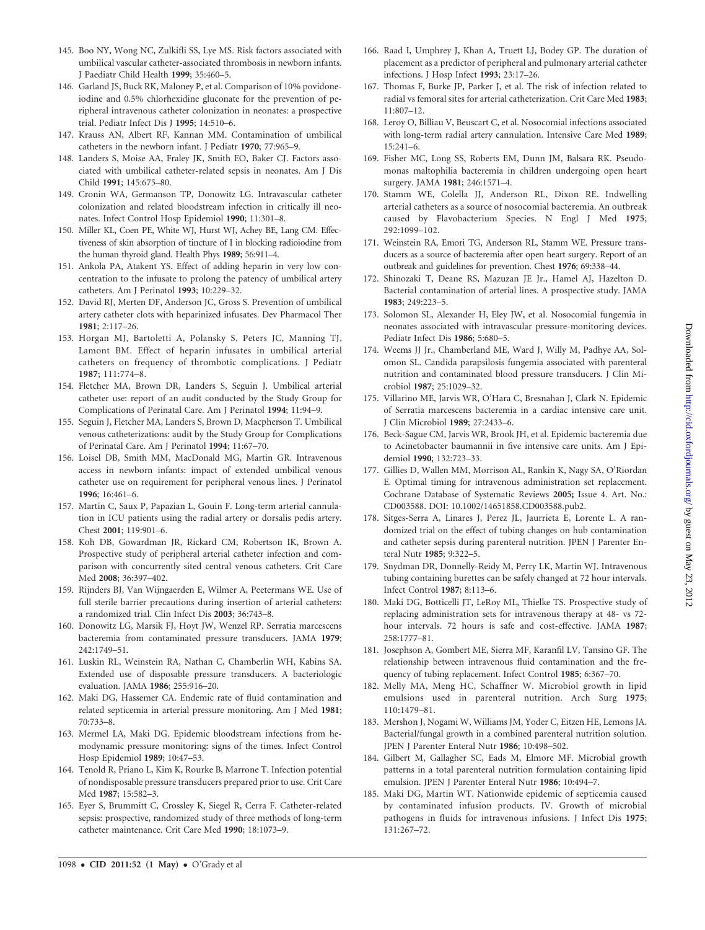- 145. Boo NY, Wong NC, Zulkifli SS, Lye MS. Risk factors associated with umbilical vascular catheter-associated thrombosis in newborn infants. J Paediatr Child Health 1999; 35:460–5.
- 146. Garland JS, Buck RK, Maloney P, et al. Comparison of 10% povidoneiodine and 0.5% chlorhexidine gluconate for the prevention of peripheral intravenous catheter colonization in neonates: a prospective trial. Pediatr Infect Dis J 1995; 14:510–6.
- 147. Krauss AN, Albert RF, Kannan MM. Contamination of umbilical catheters in the newborn infant. J Pediatr 1970; 77:965–9.
- 148. Landers S, Moise AA, Fraley JK, Smith EO, Baker CJ. Factors associated with umbilical catheter-related sepsis in neonates. Am J Dis Child 1991; 145:675–80.
- 149. Cronin WA, Germanson TP, Donowitz LG. Intravascular catheter colonization and related bloodstream infection in critically ill neonates. Infect Control Hosp Epidemiol 1990; 11:301–8.
- 150. Miller KL, Coen PE, White WJ, Hurst WJ, Achey BE, Lang CM. Effectiveness of skin absorption of tincture of I in blocking radioiodine from the human thyroid gland. Health Phys 1989; 56:911–4.
- 151. Ankola PA, Atakent YS. Effect of adding heparin in very low concentration to the infusate to prolong the patency of umbilical artery catheters. Am J Perinatol 1993; 10:229–32.
- 152. David RJ, Merten DF, Anderson JC, Gross S. Prevention of umbilical artery catheter clots with heparinized infusates. Dev Pharmacol Ther 1981; 2:117–26.
- 153. Horgan MJ, Bartoletti A, Polansky S, Peters JC, Manning TJ, Lamont BM. Effect of heparin infusates in umbilical arterial catheters on frequency of thrombotic complications. J Pediatr 1987; 111:774–8.
- 154. Fletcher MA, Brown DR, Landers S, Seguin J. Umbilical arterial catheter use: report of an audit conducted by the Study Group for Complications of Perinatal Care. Am J Perinatol 1994; 11:94–9.
- 155. Seguin J, Fletcher MA, Landers S, Brown D, Macpherson T. Umbilical venous catheterizations: audit by the Study Group for Complications of Perinatal Care. Am J Perinatol 1994; 11:67–70.
- 156. Loisel DB, Smith MM, MacDonald MG, Martin GR. Intravenous access in newborn infants: impact of extended umbilical venous catheter use on requirement for peripheral venous lines. J Perinatol 1996; 16:461–6.
- 157. Martin C, Saux P, Papazian L, Gouin F. Long-term arterial cannulation in ICU patients using the radial artery or dorsalis pedis artery. Chest 2001; 119:901–6.
- 158. Koh DB, Gowardman JR, Rickard CM, Robertson IK, Brown A. Prospective study of peripheral arterial catheter infection and comparison with concurrently sited central venous catheters. Crit Care Med 2008; 36:397–402.
- 159. Rijnders BJ, Van Wijngaerden E, Wilmer A, Peetermans WE. Use of full sterile barrier precautions during insertion of arterial catheters: a randomized trial. Clin Infect Dis 2003; 36:743–8.
- 160. Donowitz LG, Marsik FJ, Hoyt JW, Wenzel RP. Serratia marcescens bacteremia from contaminated pressure transducers. JAMA 1979; 242:1749–51.
- 161. Luskin RL, Weinstein RA, Nathan C, Chamberlin WH, Kabins SA. Extended use of disposable pressure transducers. A bacteriologic evaluation. JAMA 1986; 255:916–20.
- 162. Maki DG, Hassemer CA. Endemic rate of fluid contamination and related septicemia in arterial pressure monitoring. Am J Med 1981; 70:733–8.
- 163. Mermel LA, Maki DG. Epidemic bloodstream infections from hemodynamic pressure monitoring: signs of the times. Infect Control Hosp Epidemiol 1989; 10:47–53.
- 164. Tenold R, Priano L, Kim K, Rourke B, Marrone T. Infection potential of nondisposable pressure transducers prepared prior to use. Crit Care Med 1987; 15:582–3.
- 165. Eyer S, Brummitt C, Crossley K, Siegel R, Cerra F. Catheter-related sepsis: prospective, randomized study of three methods of long-term catheter maintenance. Crit Care Med 1990; 18:1073–9.
- 166. Raad I, Umphrey J, Khan A, Truett LJ, Bodey GP. The duration of placement as a predictor of peripheral and pulmonary arterial catheter infections. J Hosp Infect 1993; 23:17–26.
- 167. Thomas F, Burke JP, Parker J, et al. The risk of infection related to radial vs femoral sites for arterial catheterization. Crit Care Med 1983; 11:807–12.
- 168. Leroy O, Billiau V, Beuscart C, et al. Nosocomial infections associated with long-term radial artery cannulation. Intensive Care Med 1989; 15:241–6.
- 169. Fisher MC, Long SS, Roberts EM, Dunn JM, Balsara RK. Pseudomonas maltophilia bacteremia in children undergoing open heart surgery. JAMA 1981; 246:1571–4.
- 170. Stamm WE, Colella JJ, Anderson RL, Dixon RE. Indwelling arterial catheters as a source of nosocomial bacteremia. An outbreak caused by Flavobacterium Species. N Engl J Med 1975; 292:1099–102.
- 171. Weinstein RA, Emori TG, Anderson RL, Stamm WE. Pressure transducers as a source of bacteremia after open heart surgery. Report of an outbreak and guidelines for prevention. Chest 1976; 69:338–44.
- 172. Shinozaki T, Deane RS, Mazuzan JE Jr., Hamel AJ, Hazelton D. Bacterial contamination of arterial lines. A prospective study. JAMA 1983; 249:223–5.
- 173. Solomon SL, Alexander H, Eley JW, et al. Nosocomial fungemia in neonates associated with intravascular pressure-monitoring devices. Pediatr Infect Dis 1986; 5:680–5.
- 174. Weems JJ Jr., Chamberland ME, Ward J, Willy M, Padhye AA, Solomon SL. Candida parapsilosis fungemia associated with parenteral nutrition and contaminated blood pressure transducers. J Clin Microbiol 1987; 25:1029–32.
- 175. Villarino ME, Jarvis WR, O'Hara C, Bresnahan J, Clark N. Epidemic of Serratia marcescens bacteremia in a cardiac intensive care unit. J Clin Microbiol 1989; 27:2433–6.
- 176. Beck-Sague CM, Jarvis WR, Brook JH, et al. Epidemic bacteremia due to Acinetobacter baumannii in five intensive care units. Am J Epidemiol 1990; 132:723–33.
- 177. Gillies D, Wallen MM, Morrison AL, Rankin K, Nagy SA, O'Riordan E. Optimal timing for intravenous administration set replacement. Cochrane Database of Systematic Reviews 2005; Issue 4. Art. No.: CD003588. DOI: 10.1002/14651858.CD003588.pub2.
- 178. Sitges-Serra A, Linares J, Perez JL, Jaurrieta E, Lorente L. A randomized trial on the effect of tubing changes on hub contamination and catheter sepsis during parenteral nutrition. JPEN J Parenter Enteral Nutr 1985; 9:322–5.
- 179. Snydman DR, Donnelly-Reidy M, Perry LK, Martin WJ. Intravenous tubing containing burettes can be safely changed at 72 hour intervals. Infect Control 1987; 8:113–6.
- 180. Maki DG, Botticelli JT, LeRoy ML, Thielke TS. Prospective study of replacing administration sets for intravenous therapy at 48- vs 72 hour intervals. 72 hours is safe and cost-effective. JAMA 1987; 258:1777–81.
- 181. Josephson A, Gombert ME, Sierra MF, Karanfil LV, Tansino GF. The relationship between intravenous fluid contamination and the frequency of tubing replacement. Infect Control 1985; 6:367–70.
- 182. Melly MA, Meng HC, Schaffner W. Microbiol growth in lipid emulsions used in parenteral nutrition. Arch Surg 1975; 110:1479–81.
- 183. Mershon J, Nogami W, Williams JM, Yoder C, Eitzen HE, Lemons JA. Bacterial/fungal growth in a combined parenteral nutrition solution. JPEN J Parenter Enteral Nutr 1986; 10:498–502.
- 184. Gilbert M, Gallagher SC, Eads M, Elmore MF. Microbial growth patterns in a total parenteral nutrition formulation containing lipid emulsion. JPEN J Parenter Enteral Nutr 1986; 10:494–7.
- 185. Maki DG, Martin WT. Nationwide epidemic of septicemia caused by contaminated infusion products. IV. Growth of microbial pathogens in fluids for intravenous infusions. J Infect Dis 1975; 131:267–72.